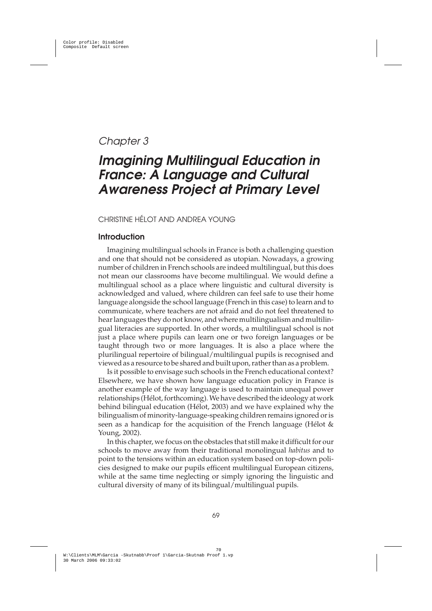# Chapter 3

# **Imagining Multilingual Education in France: A Language and Cultural Awareness Project at Primary Level**

# CHRISTINE HÉLOT AND ANDREA YOUNG

# **Introduction**

Imagining multilingual schools in France is both a challenging question and one that should not be considered as utopian. Nowadays, a growing number of children in French schools are indeed multilingual, but this does not mean our classrooms have become multilingual. We would define a multilingual school as a place where linguistic and cultural diversity is acknowledged and valued, where children can feel safe to use their home language alongside the school language (French in this case) to learn and to communicate, where teachers are not afraid and do not feel threatened to hear languages they do not know, and where multilingualism and multilingual literacies are supported. In other words, a multilingual school is not just a place where pupils can learn one or two foreign languages or be taught through two or more languages. It is also a place where the plurilingual repertoire of bilingual/multilingual pupils is recognised and viewed as a resource to be shared and built upon, rather than as a problem.

Is it possible to envisage such schools in the French educational context? Elsewhere, we have shown how language education policy in France is another example of the way language is used to maintain unequal power relationships (Hélot, forthcoming).We have described the ideology at work behind bilingual education (Hélot, 2003) and we have explained why the bilingualism of minority-language-speaking children remains ignored or is seen as a handicap for the acquisition of the French language (Hélot & Young, 2002).

In this chapter, we focus on the obstacles that still make it difficult for our schools to move away from their traditional monolingual *habitus* and to point to the tensions within an education system based on top-down policies designed to make our pupils efficent multilingual European citizens, while at the same time neglecting or simply ignoring the linguistic and cultural diversity of many of its bilingual/multilingual pupils.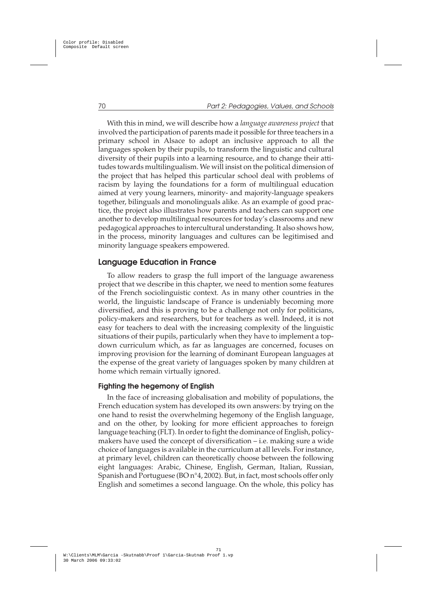With this in mind, we will describe how a *language awareness project* that involved the participation of parents made it possible for three teachers in a primary school in Alsace to adopt an inclusive approach to all the languages spoken by their pupils, to transform the linguistic and cultural diversity of their pupils into a learning resource, and to change their attitudes towards multilingualism. We will insist on the political dimension of the project that has helped this particular school deal with problems of racism by laying the foundations for a form of multilingual education aimed at very young learners, minority- and majority-language speakers together, bilinguals and monolinguals alike. As an example of good practice, the project also illustrates how parents and teachers can support one another to develop multilingual resources for today's classrooms and new pedagogical approaches to intercultural understanding. It also shows how, in the process, minority languages and cultures can be legitimised and minority language speakers empowered.

#### **Language Education in France**

To allow readers to grasp the full import of the language awareness project that we describe in this chapter, we need to mention some features of the French sociolinguistic context. As in many other countries in the world, the linguistic landscape of France is undeniably becoming more diversified, and this is proving to be a challenge not only for politicians, policy-makers and researchers, but for teachers as well. Indeed, it is not easy for teachers to deal with the increasing complexity of the linguistic situations of their pupils, particularly when they have to implement a topdown curriculum which, as far as languages are concerned, focuses on improving provision for the learning of dominant European languages at the expense of the great variety of languages spoken by many children at home which remain virtually ignored.

#### **Fighting the hegemony of English**

In the face of increasing globalisation and mobility of populations, the French education system has developed its own answers: by trying on the one hand to resist the overwhelming hegemony of the English language, and on the other, by looking for more efficient approaches to foreign language teaching (FLT). In order to fight the dominance of English, policymakers have used the concept of diversification  $-$  i.e. making sure a wide choice of languages is available in the curriculum at all levels. For instance, at primary level, children can theoretically choose between the following eight languages: Arabic, Chinese, English, German, Italian, Russian, Spanish and Portuguese (BO  $n^{\circ}4$ , 2002). But, in fact, most schools offer only English and sometimes a second language. On the whole, this policy has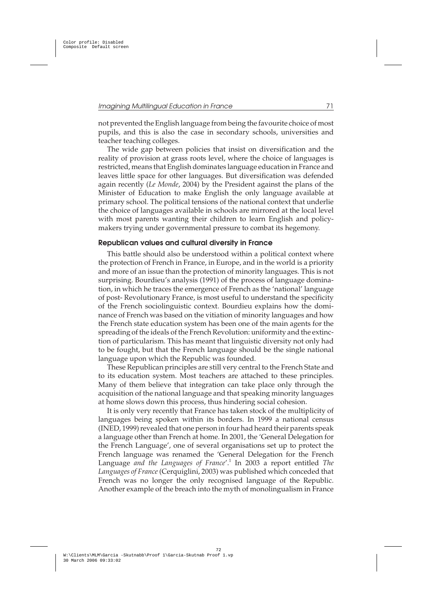not prevented the English language from being the favourite choice of most pupils, and this is also the case in secondary schools, universities and teacher teaching colleges.

The wide gap between policies that insist on diversification and the reality of provision at grass roots level, where the choice of languages is restricted, means that English dominates language education in France and leaves little space for other languages. But diversification was defended again recently (*Le Monde*, 2004) by the President against the plans of the Minister of Education to make English the only language available at primary school. The political tensions of the national context that underlie the choice of languages available in schools are mirrored at the local level with most parents wanting their children to learn English and policymakers trying under governmental pressure to combat its hegemony.

### **Republican values and cultural diversity in France**

This battle should also be understood within a political context where the protection of French in France, in Europe, and in the world is a priority and more of an issue than the protection of minority languages. This is not surprising. Bourdieu's analysis (1991) of the process of language domination, in which he traces the emergence of French as the 'national' language of post- Revolutionary France, is most useful to understand the specificity of the French sociolinguistic context. Bourdieu explains how the dominance of French was based on the vitiation of minority languages and how the French state education system has been one of the main agents for the spreading of the ideals of the French Revolution: uniformity and the extinction of particularism. This has meant that linguistic diversity not only had to be fought, but that the French language should be the single national language upon which the Republic was founded.

These Republican principles are still very central to the French State and to its education system. Most teachers are attached to these principles. Many of them believe that integration can take place only through the acquisition of the national language and that speaking minority languages at home slows down this process, thus hindering social cohesion.

It is only very recently that France has taken stock of the multiplicity of languages being spoken within its borders. In 1999 a national census (INED, 1999) revealed that one person in four had heard their parents speak a language other than French at home. In 2001, the General Delegation for the French Language', one of several organisations set up to protect the French language was renamed the 'General Delegation for the French Language *and the Languages of France*.1 In 2003 a report entitled *The Languages of France* (Cerquiglini, 2003) was published which conceded that French was no longer the only recognised language of the Republic. Another example of the breach into the myth of monolingualism in France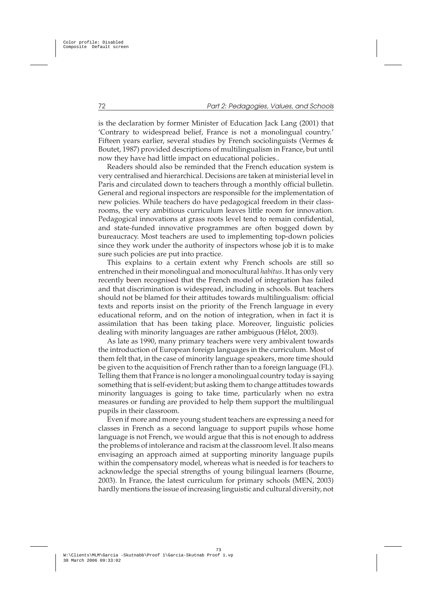is the declaration by former Minister of Education Jack Lang (2001) that Contrary to widespread belief, France is not a monolingual country. Fifteen years earlier, several studies by French sociolinguists (Vermes & Boutet, 1987) provided descriptions of multilingualism in France, but until now they have had little impact on educational policies..

Readers should also be reminded that the French education system is very centralised and hierarchical. Decisions are taken at ministerial level in Paris and circulated down to teachers through a monthly official bulletin. General and regional inspectors are responsible for the implementation of new policies. While teachers do have pedagogical freedom in their classrooms, the very ambitious curriculum leaves little room for innovation. Pedagogical innovations at grass roots level tend to remain confidential, and state-funded innovative programmes are often bogged down by bureaucracy. Most teachers are used to implementing top-down policies since they work under the authority of inspectors whose job it is to make sure such policies are put into practice.

This explains to a certain extent why French schools are still so entrenched in their monolingual and monocultural *habitus*. It has only very recently been recognised that the French model of integration has failed and that discrimination is widespread, including in schools. But teachers should not be blamed for their attitudes towards multilingualism: official texts and reports insist on the priority of the French language in every educational reform, and on the notion of integration, when in fact it is assimilation that has been taking place. Moreover, linguistic policies dealing with minority languages are rather ambiguous (Hélot, 2003).

As late as 1990, many primary teachers were very ambivalent towards the introduction of European foreign languages in the curriculum. Most of them felt that, in the case of minority language speakers, more time should be given to the acquisition of French rather than to a foreign language (FL). Telling them that France is no longer a monolingual country today is saying something that is self-evident; but asking them to change attitudes towards minority languages is going to take time, particularly when no extra measures or funding are provided to help them support the multilingual pupils in their classroom.

Even if more and more young student teachers are expressing a need for classes in French as a second language to support pupils whose home language is not French, we would argue that this is not enough to address the problems of intolerance and racism at the classroom level. It also means envisaging an approach aimed at supporting minority language pupils within the compensatory model, whereas what is needed is for teachers to acknowledge the special strengths of young bilingual learners (Bourne, 2003). In France, the latest curriculum for primary schools (MEN, 2003) hardly mentions the issue of increasing linguistic and cultural diversity, not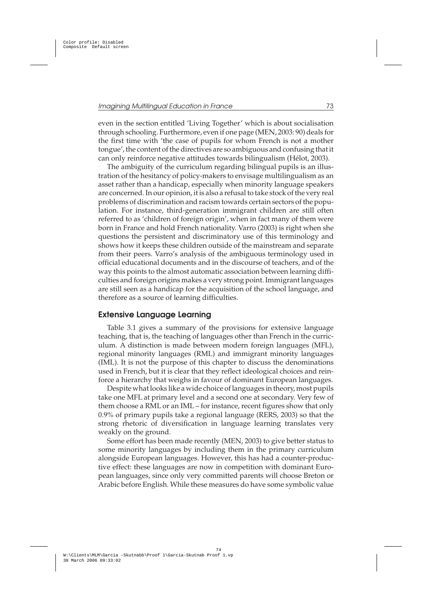even in the section entitled 'Living Together' which is about socialisation through schooling. Furthermore, even if one page (MEN, 2003: 90) deals for the first time with 'the case of pupils for whom French is not a mother tongue', the content of the directives are so ambiguous and confusing that it can only reinforce negative attitudes towards bilingualism (Hélot, 2003).

The ambiguity of the curriculum regarding bilingual pupils is an illustration of the hesitancy of policy-makers to envisage multilingualism as an asset rather than a handicap, especially when minority language speakers are concerned. In our opinion, it is also a refusal to take stock of the very real problems of discrimination and racism towards certain sectors of the population. For instance, third-generation immigrant children are still often referred to as 'children of foreign origin', when in fact many of them were born in France and hold French nationality. Varro (2003) is right when she questions the persistent and discriminatory use of this terminology and shows how it keeps these children outside of the mainstream and separate from their peers. Varro's analysis of the ambiguous terminology used in official educational documents and in the discourse of teachers, and of the way this points to the almost automatic association between learning difficulties and foreign origins makes a very strong point. Immigrant languages are still seen as a handicap for the acquisition of the school language, and therefore as a source of learning difficulties.

# **Extensive Language Learning**

Table 3.1 gives a summary of the provisions for extensive language teaching, that is, the teaching of languages other than French in the curriculum. A distinction is made between modern foreign languages (MFL), regional minority languages (RML) and immigrant minority languages (IML). It is not the purpose of this chapter to discuss the denominations used in French, but it is clear that they reflect ideological choices and reinforce a hierarchy that weighs in favour of dominant European languages.

Despite what looks like a wide choice of languages in theory, most pupils take one MFL at primary level and a second one at secondary. Very few of them choose a RML or an IML - for instance, recent figures show that only 0.9% of primary pupils take a regional language (RERS, 2003) so that the strong rhetoric of diversification in language learning translates very weakly on the ground.

Some effort has been made recently (MEN, 2003) to give better status to some minority languages by including them in the primary curriculum alongside European languages. However, this has had a counter-productive effect: these languages are now in competition with dominant European languages, since only very committed parents will choose Breton or Arabic before English. While these measures do have some symbolic value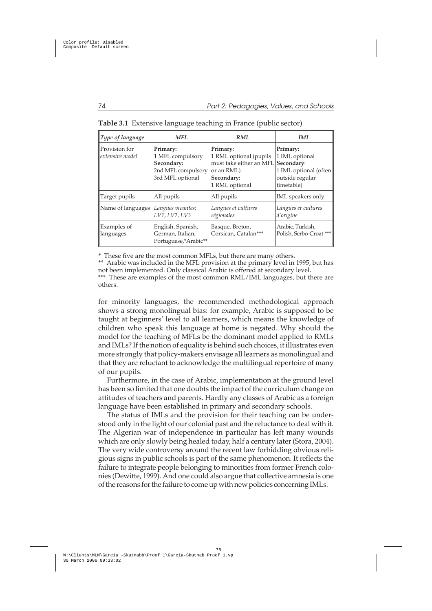| Type of language                  | <b>MFL</b>                                                                           | RML                                                                                                         | <b>IML</b>                                                                                         |
|-----------------------------------|--------------------------------------------------------------------------------------|-------------------------------------------------------------------------------------------------------------|----------------------------------------------------------------------------------------------------|
| Provision for<br>∣extensive model | Primary:<br>1 MFL compulsory<br>Secondary:<br>2nd MFL compulsory<br>3rd MFL optional | Primary:<br>1 RML optional (pupils<br>must take either an MFL<br>or an RML)<br>Secondary:<br>1 RML optional | Primary:<br>1 IML optional<br>Secondary:<br>1 IML optional (often<br>outside regular<br>timetable) |
| Target pupils                     | All pupils                                                                           | All pupils                                                                                                  | IML speakers only                                                                                  |
| Name of languages                 | Langues vivantes:<br>LV1, LV2, LV3                                                   | Langues et cultures<br>régionales                                                                           | Langues et cultures<br>d'origine                                                                   |
| Examples of<br>languages          | English, Spanish,<br>German, Italian,<br>Portuguese,*Arabic**                        | Basque, Breton,<br>Corsican, Catalan***                                                                     | Arabic, Turkish,<br>Polish, Serbo-Croat***                                                         |

**Table 3.1** Extensive language teaching in France (public sector)

\* These five are the most common MFLs, but there are many others.

\*\* Arabic was included in the MFL provision at the primary level in 1995, but has not been implemented. Only classical Arabic is offered at secondary level.

\*\*\* These are examples of the most common RML/IML languages, but there are others.

for minority languages, the recommended methodological approach shows a strong monolingual bias: for example, Arabic is supposed to be taught at beginners' level to all learners, which means the knowledge of children who speak this language at home is negated. Why should the model for the teaching of MFLs be the dominant model applied to RMLs and IMLs? If the notion of equality is behind such choices, it illustrates even more strongly that policy-makers envisage all learners as monolingual and that they are reluctant to acknowledge the multilingual repertoire of many of our pupils.

Furthermore, in the case of Arabic, implementation at the ground level has been so limited that one doubts the impact of the curriculum change on attitudes of teachers and parents. Hardly any classes of Arabic as a foreign language have been established in primary and secondary schools.

The status of IMLs and the provision for their teaching can be understood only in the light of our colonial past and the reluctance to deal with it. The Algerian war of independence in particular has left many wounds which are only slowly being healed today, half a century later (Stora, 2004). The very wide controversy around the recent law forbidding obvious religious signs in public schools is part of the same phenomenon. It reflects the failure to integrate people belonging to minorities from former French colonies (Dewitte, 1999). And one could also argue that collective amnesia is one of the reasons for the failure to come up with new policies concerning IMLs.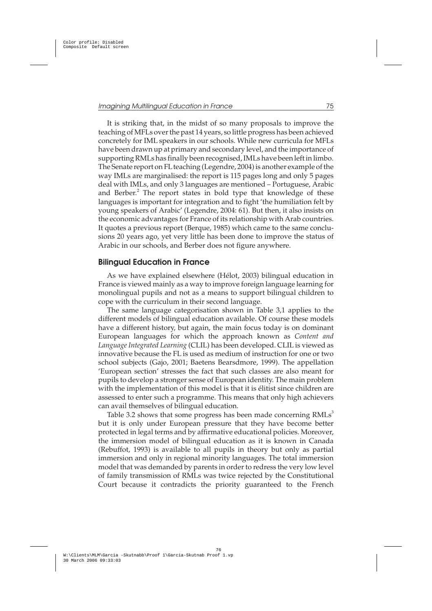It is striking that, in the midst of so many proposals to improve the teaching of MFLs over the past 14 years, so little progress has been achieved concretely for IML speakers in our schools. While new curricula for MFLs have been drawn up at primary and secondary level, and the importance of supporting RMLs has finally been recognised, IMLs have been left in limbo. The Senate report on FL teaching (Legendre, 2004) is another example of the way IMLs are marginalised: the report is 115 pages long and only 5 pages deal with IMLs, and only 3 languages are mentioned - Portuguese, Arabic and Berber.<sup>2</sup> The report states in bold type that knowledge of these languages is important for integration and to fight 'the humiliation felt by young speakers of Arabic (Legendre, 2004: 61). But then, it also insists on the economic advantages for France of its relationship with Arab countries. It quotes a previous report (Berque, 1985) which came to the same conclusions 20 years ago, yet very little has been done to improve the status of Arabic in our schools, and Berber does not figure anywhere.

#### **Bilingual Education in France**

As we have explained elsewhere (Hélot, 2003) bilingual education in France is viewed mainly as a way to improve foreign language learning for monolingual pupils and not as a means to support bilingual children to cope with the curriculum in their second language.

The same language categorisation shown in Table 3,1 applies to the different models of bilingual education available. Of course these models have a different history, but again, the main focus today is on dominant European languages for which the approach known as *Content and Language Integrated Learning* (CLIL) has been developed. CLIL is viewed as innovative because the FL is used as medium of instruction for one or two school subjects (Gajo, 2001; Baetens Bearsdmore, 1999). The appellation 'European section' stresses the fact that such classes are also meant for pupils to develop a stronger sense of European identity. The main problem with the implementation of this model is that it is élitist since children are assessed to enter such a programme. This means that only high achievers can avail themselves of bilingual education.

Table 3.2 shows that some progress has been made concerning  $RMLs<sup>3</sup>$ but it is only under European pressure that they have become better protected in legal terms and by affirmative educational policies. Moreover, the immersion model of bilingual education as it is known in Canada (Rebuffot, 1993) is available to all pupils in theory but only as partial immersion and only in regional minority languages. The total immersion model that was demanded by parents in order to redress the very low level of family transmission of RMLs was twice rejected by the Constitutional Court because it contradicts the priority guaranteed to the French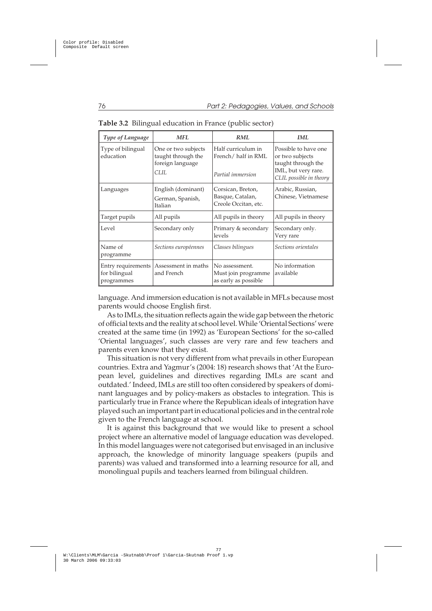#### 76 Part 2: Pedagogies, Values, and Schools

| Type of Language                                  | MFL                                                           | RML                                                           | IML                                                           |
|---------------------------------------------------|---------------------------------------------------------------|---------------------------------------------------------------|---------------------------------------------------------------|
| Type of bilingual<br>education                    | One or two subjects<br>taught through the<br>foreign language | Half curriculum in<br>French/half in RML                      | Possible to have one<br>or two subjects<br>taught through the |
| CLIL.                                             |                                                               | Partial immersion                                             | IML, but very rare.<br>CLIL possible in theory                |
| Languages                                         | English (dominant)<br>German, Spanish,<br>Italian             | Corsican, Breton,<br>Basque, Catalan,<br>Creole Occitan, etc. | Arabic, Russian,<br>Chinese, Vietnamese                       |
| Target pupils                                     | All pupils                                                    | All pupils in theory                                          | All pupils in theory                                          |
| Level                                             | Secondary only                                                | Primary & secondary<br>levels                                 | Secondary only.<br>Very rare                                  |
| Name of<br>programme                              | Sections européennes                                          | Classes bilingues                                             | Sections orientales                                           |
| Entry requirements<br>for bilingual<br>programmes | Assessment in maths<br>and French                             | No assessment.<br>Must join programme<br>as early as possible | No information<br>available                                   |

**Table 3.2** Bilingual education in France (public sector)

language. And immersion education is not available in MFLs because most parents would choose English first.

As to IMLs, the situation reflects again the wide gap between the rhetoric of official texts and the reality at school level. While 'Oriental Sections' were created at the same time (in 1992) as 'European Sections' for the so-called 'Oriental languages', such classes are very rare and few teachers and parents even know that they exist.

This situation is not very different from what prevails in other European countries. Extra and Yagmur's (2004: 18) research shows that 'At the European level, guidelines and directives regarding IMLs are scant and outdated. Indeed, IMLs are still too often considered by speakers of dominant languages and by policy-makers as obstacles to integration. This is particularly true in France where the Republican ideals of integration have played such an important part in educational policies and in the central role given to the French language at school.

It is against this background that we would like to present a school project where an alternative model of language education was developed. In this model languages were not categorised but envisaged in an inclusive approach, the knowledge of minority language speakers (pupils and parents) was valued and transformed into a learning resource for all, and monolingual pupils and teachers learned from bilingual children.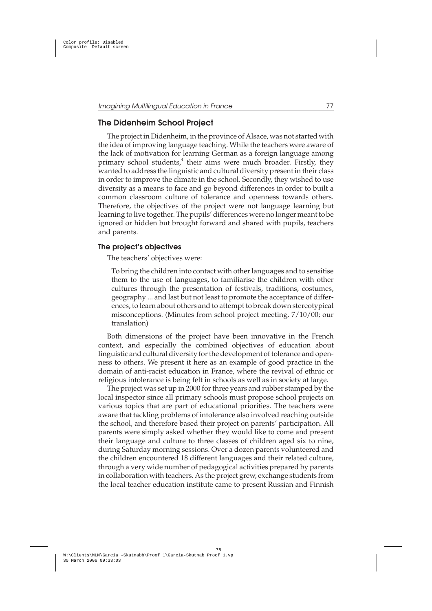# **The Didenheim School Project**

The project in Didenheim, in the province of Alsace, was not started with the idea of improving language teaching. While the teachers were aware of the lack of motivation for learning German as a foreign language among primary school students,<sup>4</sup> their aims were much broader. Firstly, they wanted to address the linguistic and cultural diversity present in their class in order to improve the climate in the school. Secondly, they wished to use diversity as a means to face and go beyond differences in order to built a common classroom culture of tolerance and openness towards others. Therefore, the objectives of the project were not language learning but learning to live together. The pupils' differences were no longer meant to be ignored or hidden but brought forward and shared with pupils, teachers and parents.

#### **The project's objectives**

The teachers' objectives were:

To bring the children into contact with other languages and to sensitise them to the use of languages, to familiarise the children with other cultures through the presentation of festivals, traditions, costumes, geography ... and last but not least to promote the acceptance of differences, to learn about others and to attempt to break down stereotypical misconceptions. (Minutes from school project meeting, 7/10/00; our translation)

Both dimensions of the project have been innovative in the French context, and especially the combined objectives of education about linguistic and cultural diversity for the development of tolerance and openness to others. We present it here as an example of good practice in the domain of anti-racist education in France, where the revival of ethnic or religious intolerance is being felt in schools as well as in society at large.

The project was set up in 2000 for three years and rubber stamped by the local inspector since all primary schools must propose school projects on various topics that are part of educational priorities. The teachers were aware that tackling problems of intolerance also involved reaching outside the school, and therefore based their project on parents' participation. All parents were simply asked whether they would like to come and present their language and culture to three classes of children aged six to nine, during Saturday morning sessions. Over a dozen parents volunteered and the children encountered 18 different languages and their related culture, through a very wide number of pedagogical activities prepared by parents in collaboration with teachers. As the project grew, exchange students from the local teacher education institute came to present Russian and Finnish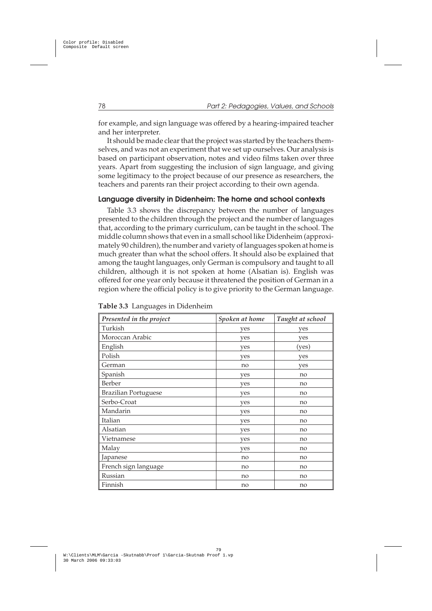for example, and sign language was offered by a hearing-impaired teacher and her interpreter.

It should be made clear that the project was started by the teachers themselves, and was not an experiment that we set up ourselves. Our analysis is based on participant observation, notes and video films taken over three years. Apart from suggesting the inclusion of sign language, and giving some legitimacy to the project because of our presence as researchers, the teachers and parents ran their project according to their own agenda.

#### **Language diversity in Didenheim: The home and school contexts**

Table 3.3 shows the discrepancy between the number of languages presented to the children through the project and the number of languages that, according to the primary curriculum, can be taught in the school. The middle column shows that even in a small school like Didenheim (approximately 90 children), the number and variety of languages spoken at home is much greater than what the school offers. It should also be explained that among the taught languages, only German is compulsory and taught to all children, although it is not spoken at home (Alsatian is). English was offered for one year only because it threatened the position of German in a region where the official policy is to give priority to the German language.

| Presented in the project    | Spoken at home | Taught at school |
|-----------------------------|----------------|------------------|
| Turkish                     | yes            | yes              |
| Moroccan Arabic             | yes            | yes              |
| English                     | yes            | (yes)            |
| Polish                      | yes            | yes              |
| German                      | no             | yes              |
| Spanish                     | yes            | no               |
| Berber                      | yes            | no               |
| <b>Brazilian Portuguese</b> | yes            | no               |
| Serbo-Croat                 | yes            | no               |
| Mandarin                    | yes            | no               |
| Italian                     | yes            | no               |
| Alsatian                    | yes            | no               |
| Vietnamese                  | yes            | no               |
| Malay                       | yes            | no               |
| Japanese                    | no             | no               |
| French sign language        | no             | no               |
| Russian                     | no             | no               |
| Finnish                     | no             | no               |

|  | Table 3.3 Languages in Didenheim |  |
|--|----------------------------------|--|
|--|----------------------------------|--|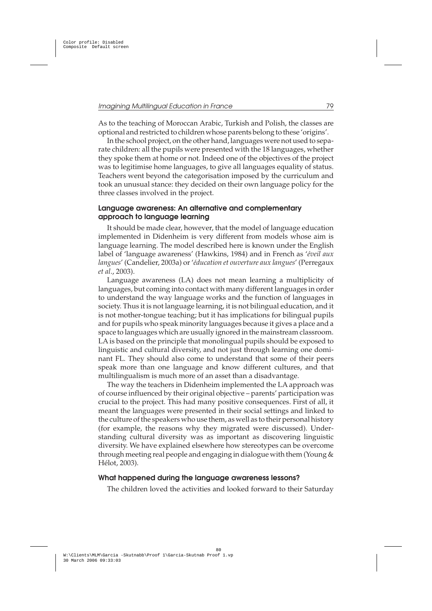As to the teaching of Moroccan Arabic, Turkish and Polish, the classes are optional and restricted to children whose parents belong to these 'origins'.

In the school project, on the other hand, languages were not used to separate children: all the pupils were presented with the 18 languages, whether they spoke them at home or not. Indeed one of the objectives of the project was to legitimise home languages, to give all languages equality of status. Teachers went beyond the categorisation imposed by the curriculum and took an unusual stance: they decided on their own language policy for the three classes involved in the project.

# **Language awareness: An alternative and complementary approach to language learning**

It should be made clear, however, that the model of language education implemented in Didenheim is very different from models whose aim is language learning. The model described here is known under the English label of language awareness (Hawkins, 1984) and in French as *éveil aux langues* (Candelier, 2003a) or *éducation et ouverture aux langues* (Perregaux *et al*., 2003).

Language awareness (LA) does not mean learning a multiplicity of languages, but coming into contact with many different languages in order to understand the way language works and the function of languages in society. Thus it is not language learning, it is not bilingual education, and it is not mother-tongue teaching; but it has implications for bilingual pupils and for pupils who speak minority languages because it gives a place and a space to languages which are usually ignored in the mainstream classroom. LA is based on the principle that monolingual pupils should be exposed to linguistic and cultural diversity, and not just through learning one dominant FL. They should also come to understand that some of their peers speak more than one language and know different cultures, and that multilingualism is much more of an asset than a disadvantage.

The way the teachers in Didenheim implemented the LA approach was of course influenced by their original objective - parents' participation was crucial to the project. This had many positive consequences. First of all, it meant the languages were presented in their social settings and linked to the culture of the speakers who use them, as well as to their personal history (for example, the reasons why they migrated were discussed). Understanding cultural diversity was as important as discovering linguistic diversity. We have explained elsewhere how stereotypes can be overcome through meeting real people and engaging in dialogue with them (Young & Hélot, 2003).

#### **What happened during the language awareness lessons?**

The children loved the activities and looked forward to their Saturday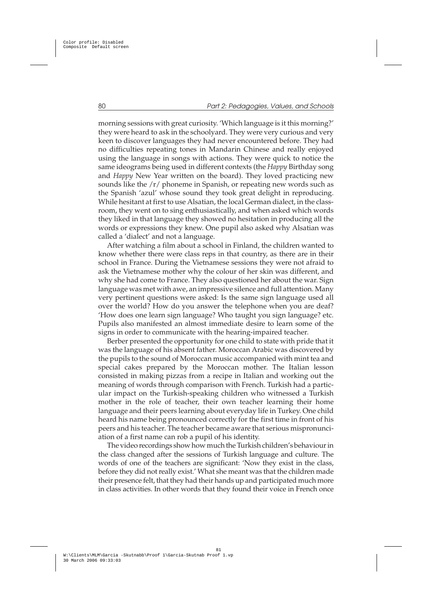80 **Part 2: Pedagogies, Values, and Schools** 

morning sessions with great curiosity. Which language is it this morning? they were heard to ask in the schoolyard. They were very curious and very keen to discover languages they had never encountered before. They had no difficulties repeating tones in Mandarin Chinese and really enjoyed using the language in songs with actions. They were quick to notice the same ideograms being used in different contexts (the *Happy* Birthday song and *Happy* New Year written on the board). They loved practicing new sounds like the /r/ phoneme in Spanish, or repeating new words such as the Spanish 'azul' whose sound they took great delight in reproducing. While hesitant at first to use Alsatian, the local German dialect, in the classroom, they went on to sing enthusiastically, and when asked which words they liked in that language they showed no hesitation in producing all the words or expressions they knew. One pupil also asked why Alsatian was called a 'dialect' and not a language.

After watching a film about a school in Finland, the children wanted to know whether there were class reps in that country, as there are in their school in France. During the Vietnamese sessions they were not afraid to ask the Vietnamese mother why the colour of her skin was different, and why she had come to France. They also questioned her about the war. Sign language was met with awe, an impressive silence and full attention. Many very pertinent questions were asked: Is the same sign language used all over the world? How do you answer the telephone when you are deaf? How does one learn sign language? Who taught you sign language? etc. Pupils also manifested an almost immediate desire to learn some of the signs in order to communicate with the hearing-impaired teacher.

Berber presented the opportunity for one child to state with pride that it was the language of his absent father. Moroccan Arabic was discovered by the pupils to the sound of Moroccan music accompanied with mint tea and special cakes prepared by the Moroccan mother. The Italian lesson consisted in making pizzas from a recipe in Italian and working out the meaning of words through comparison with French. Turkish had a particular impact on the Turkish-speaking children who witnessed a Turkish mother in the role of teacher, their own teacher learning their home language and their peers learning about everyday life in Turkey. One child heard his name being pronounced correctly for the first time in front of his peers and his teacher. The teacher became aware that serious mispronunciation of a first name can rob a pupil of his identity.

The video recordings show how much the Turkish children's behaviour in the class changed after the sessions of Turkish language and culture. The words of one of the teachers are significant: Now they exist in the class, before they did not really exist.' What she meant was that the children made their presence felt, that they had their hands up and participated much more in class activities. In other words that they found their voice in French once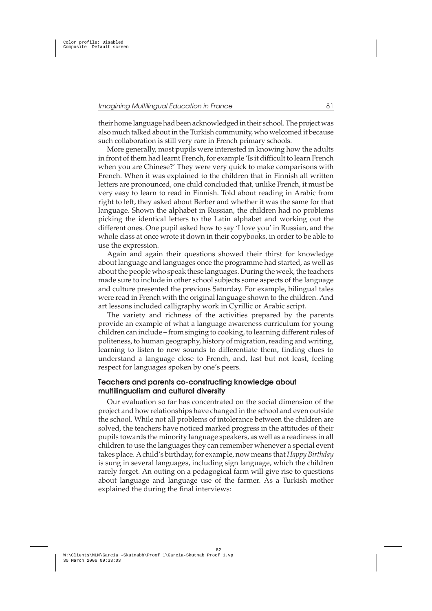their homelanguage had been acknowledgedin their school. The project was also much talked about in the Turkish community, who welcomed it because such collaboration is still very rare in French primary schools.

More generally, most pupils were interested in knowing how the adults in front of them had learnt French, for example 'Is it difficult to learn French when you are Chinese?' They were very quick to make comparisons with French. When it was explained to the children that in Finnish all written letters are pronounced, one child concluded that, unlike French, it must be very easy to learn to read in Finnish. Told about reading in Arabic from right to left, they asked about Berber and whether it was the same for that language. Shown the alphabet in Russian, the children had no problems picking the identical letters to the Latin alphabet and working out the different ones. One pupil asked how to say 'I love you' in Russian, and the whole class at once wrote it down in their copybooks, in order to be able to use the expression.

Again and again their questions showed their thirst for knowledge about language and languages once the programme had started, as well as about the people who speak these languages. During the week, the teachers made sure to include in other school subjects some aspects of the language and culture presented the previous Saturday. For example, bilingual tales were read in French with the original language shown to the children. And art lessons included calligraphy work in Cyrillic or Arabic script.

The variety and richness of the activities prepared by the parents provide an example of what a language awareness curriculum for young children can include - from singing to cooking, to learning different rules of politeness, to human geography, history of migration, reading and writing, learning to listen to new sounds to differentiate them, finding clues to understand a language close to French, and, last but not least, feeling respect for languages spoken by one's peers.

#### **Teachers and parents co-constructing knowledge about multilingualism and cultural diversity**

Our evaluation so far has concentrated on the social dimension of the project and how relationships have changed in the school and even outside the school. While not all problems of intolerance between the children are solved, the teachers have noticed marked progress in the attitudes of their pupils towards the minority language speakers, as well as a readiness in all children to use the languages they can remember whenever a special event takes place. A child's birthday, for example, now means that *Happy Birthday* is sung in several languages, including sign language, which the children rarely forget. An outing on a pedagogical farm will give rise to questions about language and language use of the farmer. As a Turkish mother explained the during the final interviews: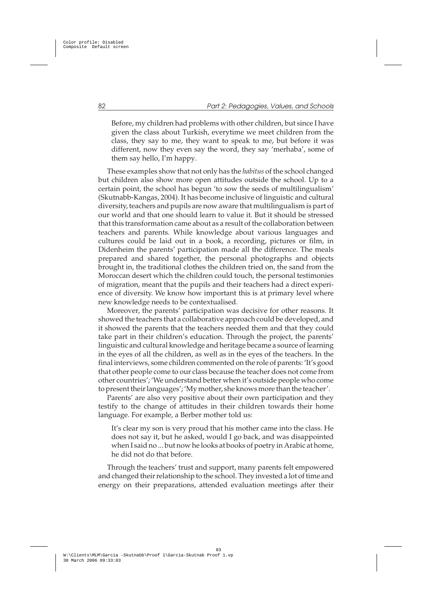Before, my children had problems with other children, but since I have given the class about Turkish, everytime we meet children from the class, they say to me, they want to speak to me, but before it was different, now they even say the word, they say 'merhaba', some of them say hello, I'm happy.

These examples show that not only has the *habitus* of the school changed but children also show more open attitudes outside the school. Up to a certain point, the school has begun 'to sow the seeds of multilingualism' (Skutnabb-Kangas, 2004). It has become inclusive of linguistic and cultural diversity, teachers and pupils are now aware that multilingualism is part of our world and that one should learn to value it. But it should be stressed that this transformation came about as a result of the collaboration between teachers and parents. While knowledge about various languages and cultures could be laid out in a book, a recording, pictures or film, in Didenheim the parents' participation made all the difference. The meals prepared and shared together, the personal photographs and objects brought in, the traditional clothes the children tried on, the sand from the Moroccan desert which the children could touch, the personal testimonies of migration, meant that the pupils and their teachers had a direct experience of diversity. We know how important this is at primary level where new knowledge needs to be contextualised.

Moreover, the parents' participation was decisive for other reasons. It showed the teachers that a collaborative approach could be developed, and it showed the parents that the teachers needed them and that they could take part in their children's education. Through the project, the parents' linguistic and cultural knowledge and heritage became a source of learning in the eyes of all the children, as well as in the eyes of the teachers. In the final interviews, some children commented on the role of parents: 'It's good that other people come to our class because the teacher does not come from other countries'; 'We understand better when it's outside people who come to present their languages'; 'My mother, she knows more than the teacher'.

Parents' are also very positive about their own participation and they testify to the change of attitudes in their children towards their home language. For example, a Berber mother told us:

It's clear my son is very proud that his mother came into the class. He does not say it, but he asked, would I go back, and was disappointed when I said no ... but now he looks at books of poetry in Arabic at home, he did not do that before.

Through the teachers' trust and support, many parents felt empowered and changed their relationship to the school. They invested a lot of time and energy on their preparations, attended evaluation meetings after their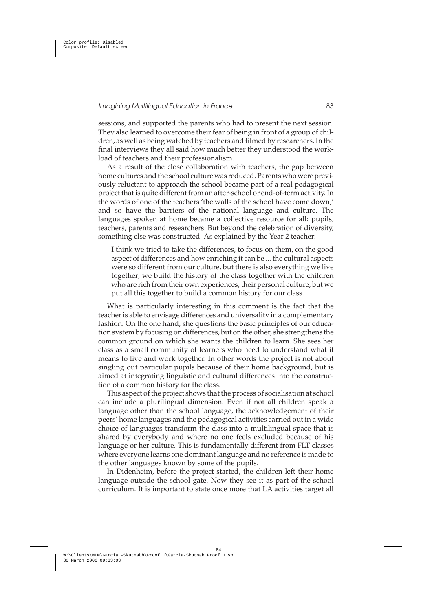sessions, and supported the parents who had to present the next session. They also learned to overcome their fear of being in front of a group of children, as well as being watched by teachers and filmed by researchers. In the final interviews they all said how much better they understood the workload of teachers and their professionalism.

As a result of the close collaboration with teachers, the gap between home cultures and the school culture was reduced. Parents who were previously reluctant to approach the school became part of a real pedagogical project that is quite different from an after-school or end-of-term activity. In the words of one of the teachers 'the walls of the school have come down,' and so have the barriers of the national language and culture. The languages spoken at home became a collective resource for all: pupils, teachers, parents and researchers. But beyond the celebration of diversity, something else was constructed. As explained by the Year 2 teacher:

I think we tried to take the differences, to focus on them, on the good aspect of differences and how enriching it can be ... the cultural aspects were so different from our culture, but there is also everything we live together, we build the history of the class together with the children who are rich from their own experiences, their personal culture, but we put all this together to build a common history for our class.

What is particularly interesting in this comment is the fact that the teacher is able to envisage differences and universality in a complementary fashion. On the one hand, she questions the basic principles of our education system by focusing on differences, but on the other, she strengthens the common ground on which she wants the children to learn. She sees her class as a small community of learners who need to understand what it means to live and work together. In other words the project is not about singling out particular pupils because of their home background, but is aimed at integrating linguistic and cultural differences into the construction of a common history for the class.

This aspect of the project shows that the process of socialisation at school can include a plurilingual dimension. Even if not all children speak a language other than the school language, the acknowledgement of their peers' home languages and the pedagogical activities carried out in a wide choice of languages transform the class into a multilingual space that is shared by everybody and where no one feels excluded because of his language or her culture. This is fundamentally different from FLT classes where everyone learns one dominant language and no reference is made to the other languages known by some of the pupils.

In Didenheim, before the project started, the children left their home language outside the school gate. Now they see it as part of the school curriculum. It is important to state once more that LA activities target all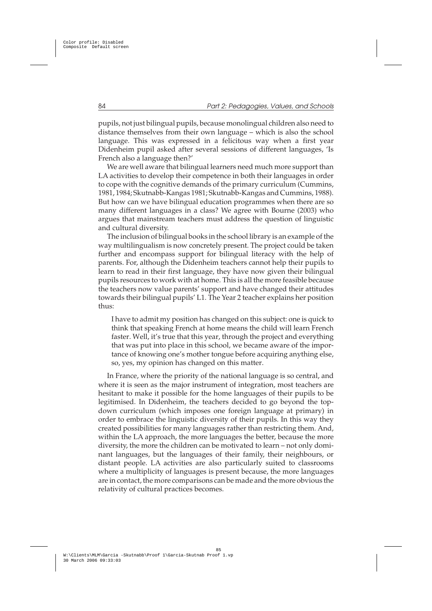pupils, not just bilingual pupils, because monolingual children also need to distance themselves from their own language – which is also the school language. This was expressed in a felicitous way when a first year Didenheim pupil asked after several sessions of different languages, 'Is French also a language then?

We are well aware that bilingual learners need much more support than LA activities to develop their competence in both their languages in order to cope with the cognitive demands of the primary curriculum (Cummins, 1981, 1984; Skutnabb-Kangas 1981; Skutnabb-Kangas and Cummins, 1988). But how can we have bilingual education programmes when there are so many different languages in a class? We agree with Bourne (2003) who argues that mainstream teachers must address the question of linguistic and cultural diversity.

The inclusion of bilingual books in the school library is an example of the way multilingualism is now concretely present. The project could be taken further and encompass support for bilingual literacy with the help of parents. For, although the Didenheim teachers cannot help their pupils to learn to read in their first language, they have now given their bilingual pupils resources to work with at home. This is all the more feasible because the teachers now value parents' support and have changed their attitudes towards their bilingual pupils' L1. The Year 2 teacher explains her position thus:

I have to admit my position has changed on this subject: one is quick to think that speaking French at home means the child will learn French faster. Well, it's true that this year, through the project and everything that was put into place in this school, we became aware of the importance of knowing one's mother tongue before acquiring anything else, so, yes, my opinion has changed on this matter.

In France, where the priority of the national language is so central, and where it is seen as the major instrument of integration, most teachers are hesitant to make it possible for the home languages of their pupils to be legitimised. In Didenheim, the teachers decided to go beyond the topdown curriculum (which imposes one foreign language at primary) in order to embrace the linguistic diversity of their pupils. In this way they created possibilities for many languages rather than restricting them. And, within the LA approach, the more languages the better, because the more diversity, the more the children can be motivated to learn – not only dominant languages, but the languages of their family, their neighbours, or distant people. LA activities are also particularly suited to classrooms where a multiplicity of languages is present because, the more languages are in contact, the more comparisons can be made and the more obvious the relativity of cultural practices becomes.

85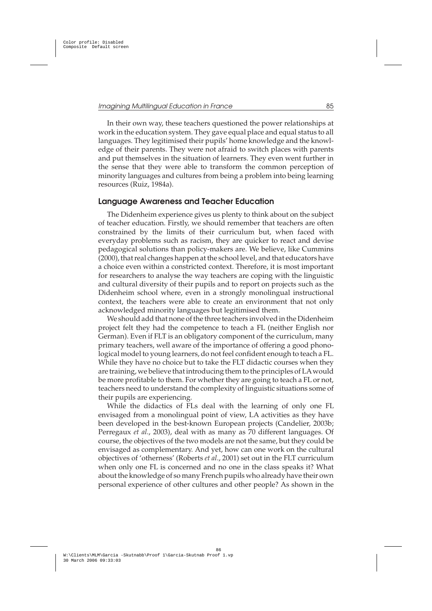In their own way, these teachers questioned the power relationships at work in the education system. They gave equal place and equal status to all languages. They legitimised their pupils' home knowledge and the knowledge of their parents. They were not afraid to switch places with parents and put themselves in the situation of learners. They even went further in the sense that they were able to transform the common perception of minority languages and cultures from being a problem into being learning resources (Ruiz, 1984a).

# **Language Awareness and Teacher Education**

The Didenheim experience gives us plenty to think about on the subject of teacher education. Firstly, we should remember that teachers are often constrained by the limits of their curriculum but, when faced with everyday problems such as racism, they are quicker to react and devise pedagogical solutions than policy-makers are. We believe, like Cummins (2000), that real changes happen at the school level, and that educators have a choice even within a constricted context. Therefore, it is most important for researchers to analyse the way teachers are coping with the linguistic and cultural diversity of their pupils and to report on projects such as the Didenheim school where, even in a strongly monolingual instructional context, the teachers were able to create an environment that not only acknowledged minority languages but legitimised them.

We should add that none of the three teachers involved in the Didenheim project felt they had the competence to teach a FL (neither English nor German). Even if FLT is an obligatory component of the curriculum, many primary teachers, well aware of the importance of offering a good phonological model to young learners, do not feel confident enough to teach a FL. While they have no choice but to take the FLT didactic courses when they are training, we believe that introducing them to the principles of LAwould be more profitable to them. For whether they are going to teach a FL or not, teachers need to understand the complexity of linguistic situations some of their pupils are experiencing.

While the didactics of FLs deal with the learning of only one FL envisaged from a monolingual point of view, LA activities as they have been developed in the best-known European projects (Candelier, 2003b; Perregaux *et al*., 2003), deal with as many as 70 different languages. Of course, the objectives of the two models are not the same, but they could be envisaged as complementary. And yet, how can one work on the cultural objectives of 'otherness' (Roberts *et al.*, 2001) set out in the FLT curriculum when only one FL is concerned and no one in the class speaks it? What about the knowledge of so many French pupils who already have their own personal experience of other cultures and other people? As shown in the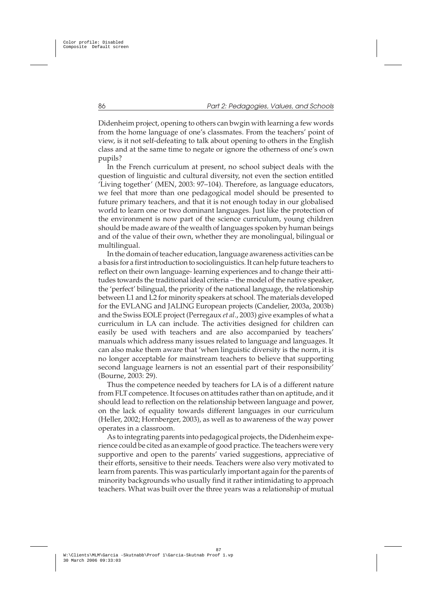Didenheim project, opening to others can bwgin with learning a few words from the home language of one's classmates. From the teachers' point of view, is it not self-defeating to talk about opening to others in the English class and at the same time to negate or ignore the otherness of one's own pupils?

In the French curriculum at present, no school subject deals with the question of linguistic and cultural diversity, not even the section entitled 'Living together' (MEN, 2003: 97-104). Therefore, as language educators, we feel that more than one pedagogical model should be presented to future primary teachers, and that it is not enough today in our globalised world to learn one or two dominant languages. Just like the protection of the environment is now part of the science curriculum, young children should be made aware of the wealth of languages spoken by human beings and of the value of their own, whether they are monolingual, bilingual or multilingual.

In the domain of teacher education, language awareness activities can be a basis for a first introduction to sociolinguistics. It can help future teachers to reflect on their own language- learning experiences and to change their attitudes towards the traditional ideal criteria - the model of the native speaker, the 'perfect' bilingual, the priority of the national language, the relationship between L1 and L2 for minority speakers at school. The materials developed for the EVLANG and JALING European projects (Candelier, 2003a, 2003b) and the Swiss EOLE project (Perregaux *et al*., 2003) give examples of what a curriculum in LA can include. The activities designed for children can easily be used with teachers and are also accompanied by teachers manuals which address many issues related to language and languages. It can also make them aware that 'when linguistic diversity is the norm, it is no longer acceptable for mainstream teachers to believe that supporting second language learners is not an essential part of their responsibility (Bourne, 2003: 29).

Thus the competence needed by teachers for LA is of a different nature from FLT competence. It focuses on attitudes rather than on aptitude, and it should lead to reflection on the relationship between language and power, on the lack of equality towards different languages in our curriculum (Heller, 2002; Hornberger, 2003), as well as to awareness of the way power operates in a classroom.

As to integrating parents into pedagogical projects, the Didenheim experience could be cited as an example of good practice. The teachers were very supportive and open to the parents' varied suggestions, appreciative of their efforts, sensitive to their needs. Teachers were also very motivated to learn from parents. This was particularly important again for the parents of minority backgrounds who usually find it rather intimidating to approach teachers. What was built over the three years was a relationship of mutual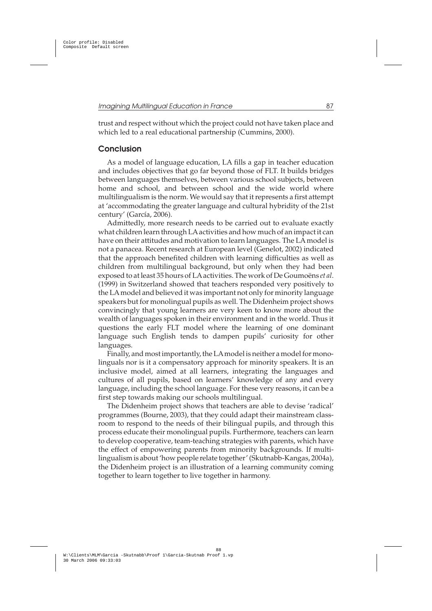trust and respect without which the project could not have taken place and which led to a real educational partnership (Cummins, 2000).

## **Conclusion**

As a model of language education, LA fills a gap in teacher education and includes objectives that go far beyond those of FLT. It builds bridges between languages themselves, between various school subjects, between home and school, and between school and the wide world where multilingualism is the norm. We would say that it represents a first attempt at 'accommodating the greater language and cultural hybridity of the 21st century' (García, 2006).

Admittedly, more research needs to be carried out to evaluate exactly what children learn through LA activities and how much of an impact it can have on their attitudes and motivation to learn languages. The LAmodel is not a panacea. Recent research at European level (Genelot, 2002) indicated that the approach benefited children with learning difficulties as well as children from multilingual background, but only when they had been exposed to at least 35 hours of LA activities. The work of De Goumoëns *et al*. (1999) in Switzerland showed that teachers responded very positively to the LAmodel and believed it was important not only for minority language speakers but for monolingual pupils as well. The Didenheim project shows convincingly that young learners are very keen to know more about the wealth of languages spoken in their environment and in the world. Thus it questions the early FLT model where the learning of one dominant language such English tends to dampen pupils' curiosity for other languages.

Finally, and most importantly, the LAmodel is neither a model for monolinguals nor is it a compensatory approach for minority speakers. It is an inclusive model, aimed at all learners, integrating the languages and cultures of all pupils, based on learners' knowledge of any and every language, including the school language. For these very reasons, it can be a first step towards making our schools multilingual.

The Didenheim project shows that teachers are able to devise 'radical' programmes (Bourne, 2003), that they could adapt their mainstream classroom to respond to the needs of their bilingual pupils, and through this process educate their monolingual pupils. Furthermore, teachers can learn to develop cooperative, team-teaching strategies with parents, which have the effect of empowering parents from minority backgrounds. If multilingualism is about 'how people relate together' (Skutnabb-Kangas, 2004a), the Didenheim project is an illustration of a learning community coming together to learn together to live together in harmony.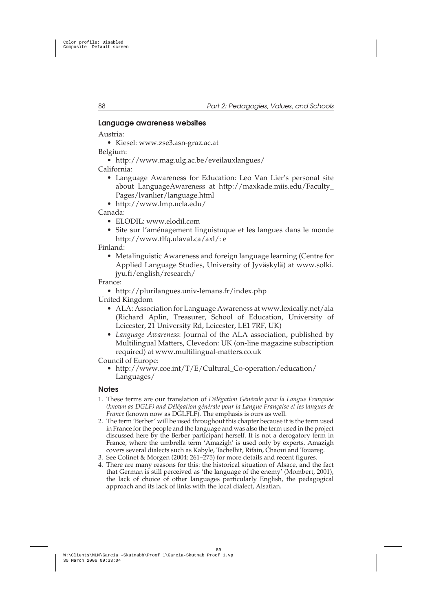#### **Language awareness websites**

Austria:

Kiesel: www.zse3.asn-graz.ac.at

Belgium:

http://www.mag.ulg.ac.be/eveilauxlangues/

California:

- Language Awareness for Education: Leo Van Lier's personal site about LanguageAwareness at http://maxkade.miis.edu/Faculty\_ Pages/lvanlier/language.html
- http://www.lmp.ucla.edu/

Canada:

- ELODIL: www.elodil.com
- Site sur l'aménagement linguistuque et les langues dans le monde http://www.tlfq.ulaval.ca/axl/: e

Finland:

 Metalinguistic Awareness and foreign language learning (Centre for Applied Language Studies, University of Jyväskylä) at www.solki. jyu.fi/english/research/

France:

http://plurilangues.univ-lemans.fr/index.php

United Kingdom

- ALA: Association for Language Awareness at www.lexically.net/ala (Richard Aplin, Treasurer, School of Education, University of Leicester, 21 University Rd, Leicester, LE1 7RF, UK)
- *Language Awareness*: Journal of the ALA association, published by Multilingual Matters, Clevedon: UK (on-line magazine subscription required) at www.multilingual-matters.co.uk

Council of Europe:

 http://www.coe.int/T/E/Cultural\_Co-operation/education/ Languages/

### **Notes**

- 1. These terms are our translation of *Délégation Générale pour la Langue Française (known as DGLF) and Délégation générale pour la Langue Française et les langues de France* (known now as DGLFLF). The emphasis is ours as well.
- 2. The term 'Berber' will be used throughout this chapter because it is the term used in France for the people and the language and was also the term used in the project discussed here by the Berber participant herself. It is not a derogatory term in France, where the umbrella term 'Amazigh' is used only by experts. Amazigh covers several dialects such as Kabyle, Tachelhit, Rifain, Chaoui and Touareg.
- 3. See Colinet & Morgen (2004: 261–275) for more details and recent figures.
- 4. There are many reasons for this: the historical situation of Alsace, and the fact that German is still perceived as 'the language of the enemy' (Mombert, 2001), the lack of choice of other languages particularly English, the pedagogical approach and its lack of links with the local dialect, Alsatian.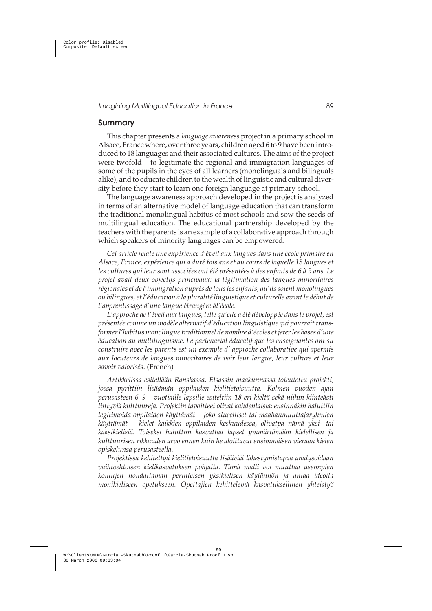#### **Summary**

This chapter presents a *language awareness* project in a primary school in Alsace, France where, over three years, children aged 6 to 9 have been introduced to 18 languages and their associated cultures. The aims of the project were twofold – to legitimate the regional and immigration languages of some of the pupils in the eyes of all learners (monolinguals and bilinguals alike), and to educate children to the wealth of linguistic and cultural diversity before they start to learn one foreign language at primary school.

The language awareness approach developed in the project is analyzed in terms of an alternative model of language education that can transform the traditional monolingual habitus of most schools and sow the seeds of multilingual education. The educational partnership developed by the teachers with the parents is an example of a collaborative approach through which speakers of minority languages can be empowered.

*Cet article relate une expérience d'éveil aux langues dans une école primaire en Alsace, France, expérience qui a duré tois ans et au cours de laquelle 18 langues et* les cultures qui leur sont associées ont été présentées à des enfants de 6 à 9 ans. Le *projet avait deux objectifs principaux: la légitimation des langues minoritaires régionales et de l'immigration auprès de tous les enfants, qu'ils soient monolingues ou bilingues, et l'éducation à la pluralité linguistique et culturelle avant le début de l'apprentissage d'une langue étrangère àl'école.*

*L'approche de l'éveil aux langues, telle qu'elle a été développée dans le projet, est présentée comme un modèle alternatif d'éducation linguistique qui pourrait transformer l'habitus monolingue traditionnel de nombre d'écoles et jeter les bases d'une éducation au multilinguisme. Le partenariat éducatif que les enseignantes ont su construire avec les parents est un exemple d' approche collaborative qui apermis aux locuteurs de langues minoritaires de voir leur langue, leur culture et leur savoir valorisés*. (French)

*Artikkelissa esitellään Ranskassa, Elsassin maakunnassa toteutettu projekti, jossa pyrittiin lisäämän oppilaiden kielitietoisuutta. Kolmen vuoden ajan perusasteen 6–9 – vuotiaille lapsille esiteltiin 18 eri kieltä sekä niihin kiinteästi liittyviä kulttuureja. Projektin tavoitteet olivat kahdenlaisia: ensinnäkin haluttiin legitimoida oppilaiden käyttämät – joko alueelliset tai maahanmuuttajaryhmien käyttämät – kielet kaikkien oppilaiden keskuudessa, olivatpa nämä yksi- tai kaksikielisiä. Toiseksi haluttiin kasvattaa lapset ymmärtämään kielellisen ja kulttuurisen rikkauden arvo ennen kuin he aloittavat ensimmäisen vieraan kielen opiskelunsa perusasteella.*

*Projektissa kehitettyä kielitietoisuutta lisäävää lähestymistapaa analysoidaan vaihtoehtoisen kielikasvatuksen pohjalta. Tämä malli voi muuttaa useimpien koulujen noudattaman perinteisen yksikielisen käytännön ja antaa ideoita monikieliseen opetukseen. Opettajien kehittelemä kasvatuksellinen yhteistyö*